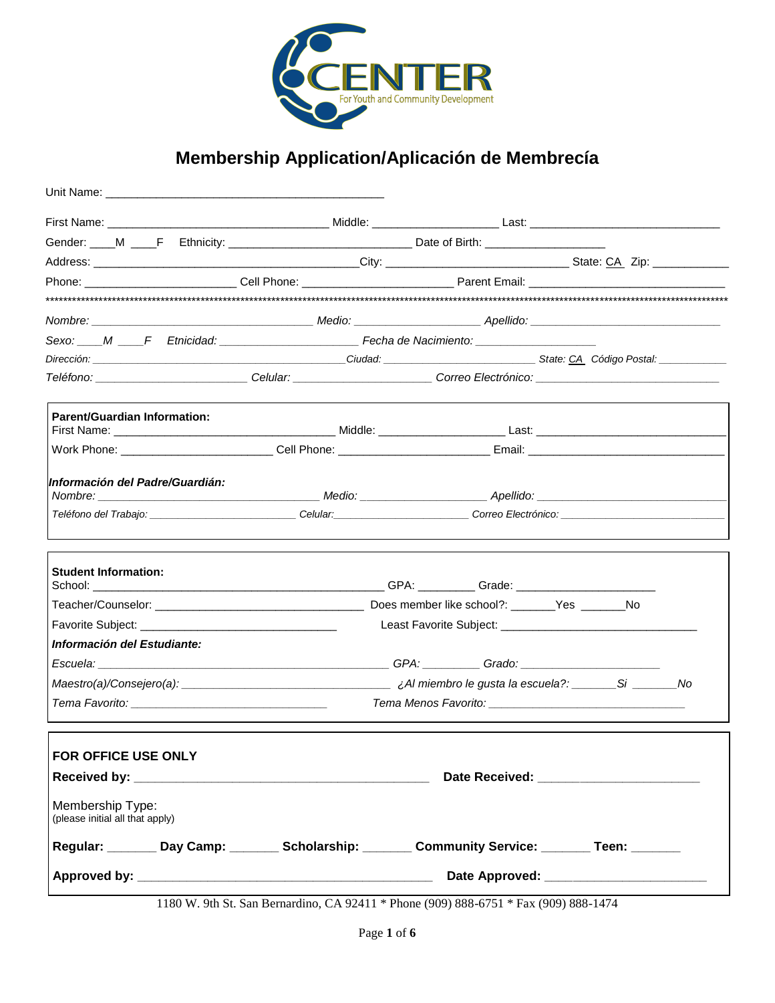

## **Membership Application/Aplicación de Membrecía**

| Sexo: M F Etnicidad: Communication Fecha de Nacimiento: National Association of the Etnicidad:                                                                                                                                 |  |  |  |                                                                                                                                                                                                                                |
|--------------------------------------------------------------------------------------------------------------------------------------------------------------------------------------------------------------------------------|--|--|--|--------------------------------------------------------------------------------------------------------------------------------------------------------------------------------------------------------------------------------|
| Dirección: State: CA Código Postal: Called Civil and Civil and Civil and Civil and College Codigo Postal: CA Código Postal: CA Código Postal:                                                                                  |  |  |  |                                                                                                                                                                                                                                |
|                                                                                                                                                                                                                                |  |  |  |                                                                                                                                                                                                                                |
| <b>Parent/Guardian Information:</b>                                                                                                                                                                                            |  |  |  |                                                                                                                                                                                                                                |
|                                                                                                                                                                                                                                |  |  |  |                                                                                                                                                                                                                                |
|                                                                                                                                                                                                                                |  |  |  |                                                                                                                                                                                                                                |
| Información del Padre/Guardián:                                                                                                                                                                                                |  |  |  |                                                                                                                                                                                                                                |
| Teléfono del Trabajo: en el proporto del trabajo de la contrada de Collaria de Correo Electrónico:                                                                                                                             |  |  |  |                                                                                                                                                                                                                                |
| <b>Student Information:</b>                                                                                                                                                                                                    |  |  |  |                                                                                                                                                                                                                                |
| Teacher/Counselor: No Contract the School ?: No Change of the School ?: No Change of the School ?: No Change of the School ?: No Change of the School ?: No Change of the School ?: No Change of the School ?: No Change of th |  |  |  |                                                                                                                                                                                                                                |
|                                                                                                                                                                                                                                |  |  |  |                                                                                                                                                                                                                                |
| Información del Estudiante:                                                                                                                                                                                                    |  |  |  |                                                                                                                                                                                                                                |
|                                                                                                                                                                                                                                |  |  |  |                                                                                                                                                                                                                                |
|                                                                                                                                                                                                                                |  |  |  |                                                                                                                                                                                                                                |
| Tema Favorito: North State Communication of the Communication of the Communication of the Communication of the                                                                                                                 |  |  |  |                                                                                                                                                                                                                                |
| <b>FOR OFFICE USE ONLY</b>                                                                                                                                                                                                     |  |  |  |                                                                                                                                                                                                                                |
|                                                                                                                                                                                                                                |  |  |  | Date Received: Note that the state of the state of the state of the state of the state of the state of the state of the state of the state of the state of the state of the state of the state of the state of the state of th |
| Membership Type:<br>(please initial all that apply)                                                                                                                                                                            |  |  |  |                                                                                                                                                                                                                                |
| Regular: ________ Day Camp: ________ Scholarship: ________ Community Service: _______ Teen: _______                                                                                                                            |  |  |  |                                                                                                                                                                                                                                |
|                                                                                                                                                                                                                                |  |  |  |                                                                                                                                                                                                                                |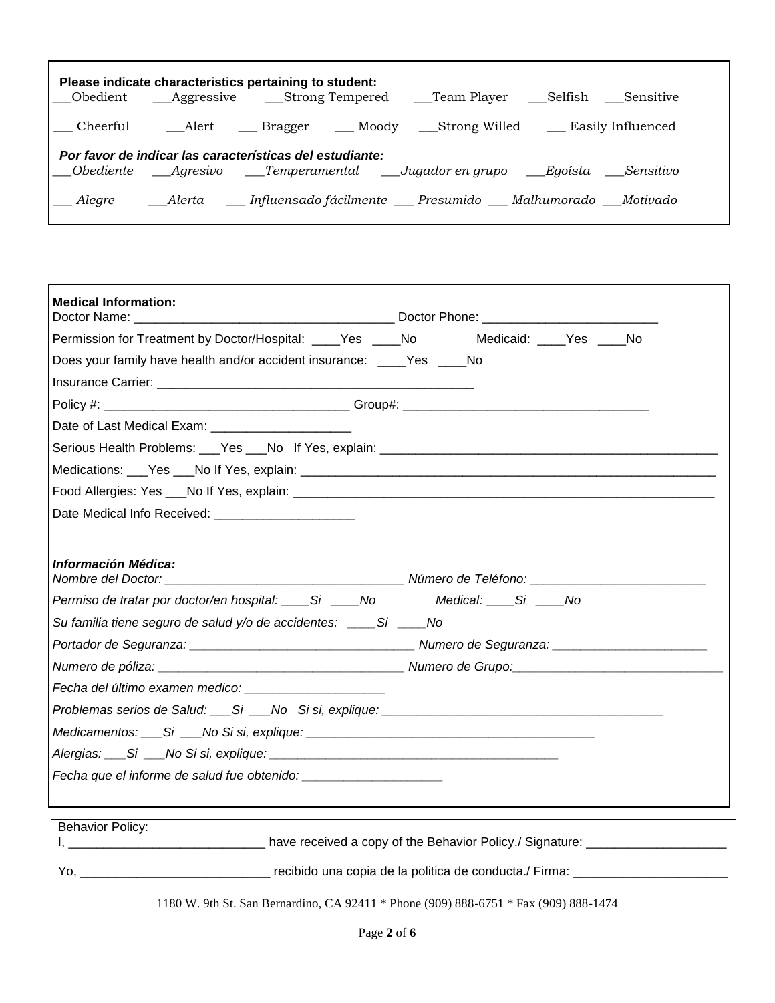|  | Please indicate characteristics pertaining to student:                                               | __Obedient _____Aggressive _________Strong Tempered _______Team Player __________Selfish ______Sensitive |  |
|--|------------------------------------------------------------------------------------------------------|----------------------------------------------------------------------------------------------------------|--|
|  |                                                                                                      |                                                                                                          |  |
|  | Por favor de indicar las características del estudiante:                                             | __Obediente __Agresivo __Temperamental __Jugador en grupo __Egoísta __Sensitivo                          |  |
|  | ___ Alegre ________ ____________ Influensado fácilmente ____ Presumido ____ Malhumorado ____Motivado |                                                                                                          |  |

| <b>Medical Information:</b>                                                                                                              |                          |
|------------------------------------------------------------------------------------------------------------------------------------------|--------------------------|
| Permission for Treatment by Doctor/Hospital: ____Yes ____No                                                                              | Medicaid: ____Yes ____No |
| Does your family have health and/or accident insurance: _____Yes _____No                                                                 |                          |
|                                                                                                                                          |                          |
|                                                                                                                                          |                          |
| Date of Last Medical Exam: ________________________                                                                                      |                          |
|                                                                                                                                          |                          |
|                                                                                                                                          |                          |
|                                                                                                                                          |                          |
| Date Medical Info Received: _______________________                                                                                      |                          |
| Información Médica:<br>Su familia tiene seguro de salud y/o de accidentes: _______ Si ______ No                                          |                          |
|                                                                                                                                          |                          |
| Problemas serios de Salud: Si Alo Si si, explique: Martin Martin Martin Martin Martin Martin Martin Martin Mar                           |                          |
|                                                                                                                                          |                          |
|                                                                                                                                          |                          |
|                                                                                                                                          |                          |
| Behavior Policy:<br>I, ___________________________________ have received a copy of the Behavior Policy./ Signature: ____________________ |                          |
|                                                                                                                                          |                          |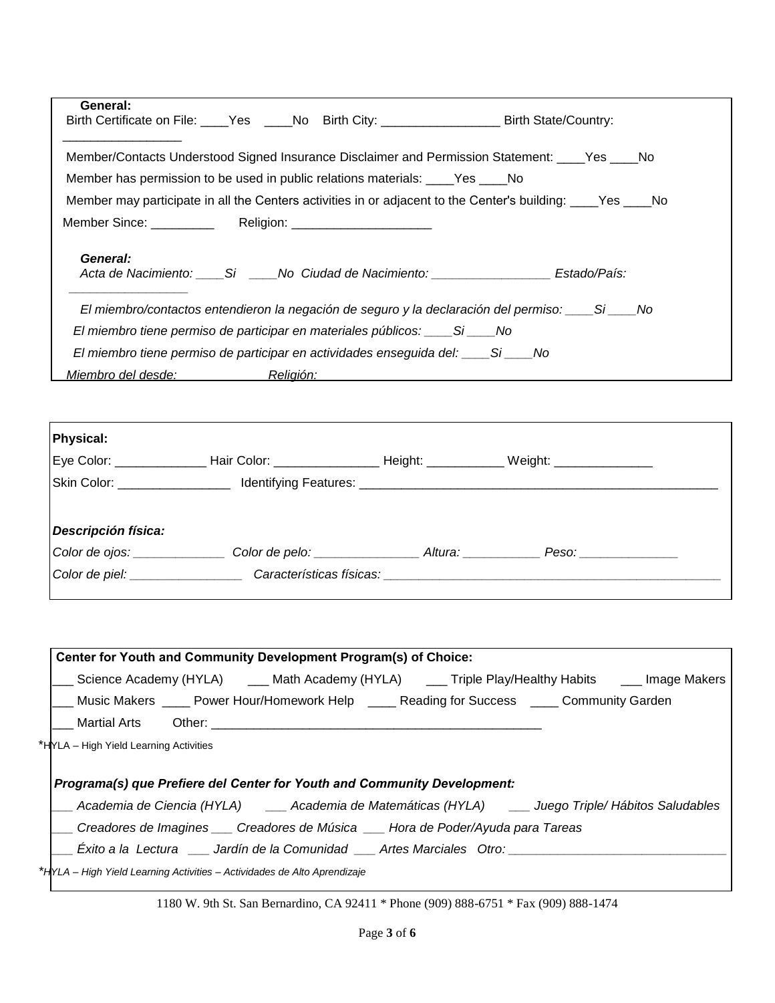| General:<br>Birth Certificate on File: ____Yes _____No Birth City: _________________________Birth State/Country: |  |  |  |  |
|------------------------------------------------------------------------------------------------------------------|--|--|--|--|
| Member/Contacts Understood Signed Insurance Disclaimer and Permission Statement: ____Yes ____No                  |  |  |  |  |
| Member has permission to be used in public relations materials: ____Yes ____No                                   |  |  |  |  |
| Member may participate in all the Centers activities in or adjacent to the Center's building: _____Yes _____No   |  |  |  |  |
| Member Since: _____________  Religion: _________________________                                                 |  |  |  |  |
| General:<br>Acta de Nacimiento: Si Si No Ciudad de Nacimiento: Estado/País:                                      |  |  |  |  |
| El miembro/contactos entendieron la negación de seguro y la declaración del permiso: _____Si _____No             |  |  |  |  |
| El miembro tiene permiso de participar en materiales públicos: _______Si _______No                               |  |  |  |  |
| El miembro tiene permiso de participar en actividades enseguida del: ____Si ____No                               |  |  |  |  |
| Miembro del desde: Religión:                                                                                     |  |  |  |  |

|                                | Weight: _________________                                                                                                                                                                                                                                                                                                                             |
|--------------------------------|-------------------------------------------------------------------------------------------------------------------------------------------------------------------------------------------------------------------------------------------------------------------------------------------------------------------------------------------------------|
|                                |                                                                                                                                                                                                                                                                                                                                                       |
|                                |                                                                                                                                                                                                                                                                                                                                                       |
|                                |                                                                                                                                                                                                                                                                                                                                                       |
| Color de ojos: _______________ | $P$ eso: _________________                                                                                                                                                                                                                                                                                                                            |
|                                |                                                                                                                                                                                                                                                                                                                                                       |
|                                | Hair Color: ____________________ Height: ____________<br>Color de pelo: Altura:<br>Color de piel: _________________<br>Características físicas: entre a contrar entre a contrar entre a contrar entre a contrar entre a contrar entre a contrar entre a contrar entre a contrar entre a contrar entre a contrar entre a contrar entre a contrar entre |

| Center for Youth and Community Development Program(s) of Choice:                                                                                                                                                                                                                                                                                                                                                                                   |
|----------------------------------------------------------------------------------------------------------------------------------------------------------------------------------------------------------------------------------------------------------------------------------------------------------------------------------------------------------------------------------------------------------------------------------------------------|
| Science Academy (HYLA)    ___ Math Academy (HYLA)    ___ Triple Play/Healthy Habits    ___ Image Makers                                                                                                                                                                                                                                                                                                                                            |
| ___ Music Makers ____ Power Hour/Homework Help ____ Reading for Success ____ Community Garden                                                                                                                                                                                                                                                                                                                                                      |
|                                                                                                                                                                                                                                                                                                                                                                                                                                                    |
| *HYLA - High Yield Learning Activities                                                                                                                                                                                                                                                                                                                                                                                                             |
| Programa(s) que Prefiere del Center for Youth and Community Development:<br>Academia de Ciencia (HYLA) — Academia de Matemáticas (HYLA) — Juego Triple/ Hábitos Saludables<br>Creadores de Imagines ___ Creadores de Música ___ Hora de Poder/Ayuda para Tareas<br>___ Éxito a la  Lectura ____ Jardín de la Comunidad ___ Artes Marciales   Otro: ___________________<br>*HYLA - High Yield Learning Activities - Actividades de Alto Aprendizaje |
| 1180 W. 9th St. San Bernardino, CA 92411 * Phone (909) 888-6751 * Fax (909) 888-1474                                                                                                                                                                                                                                                                                                                                                               |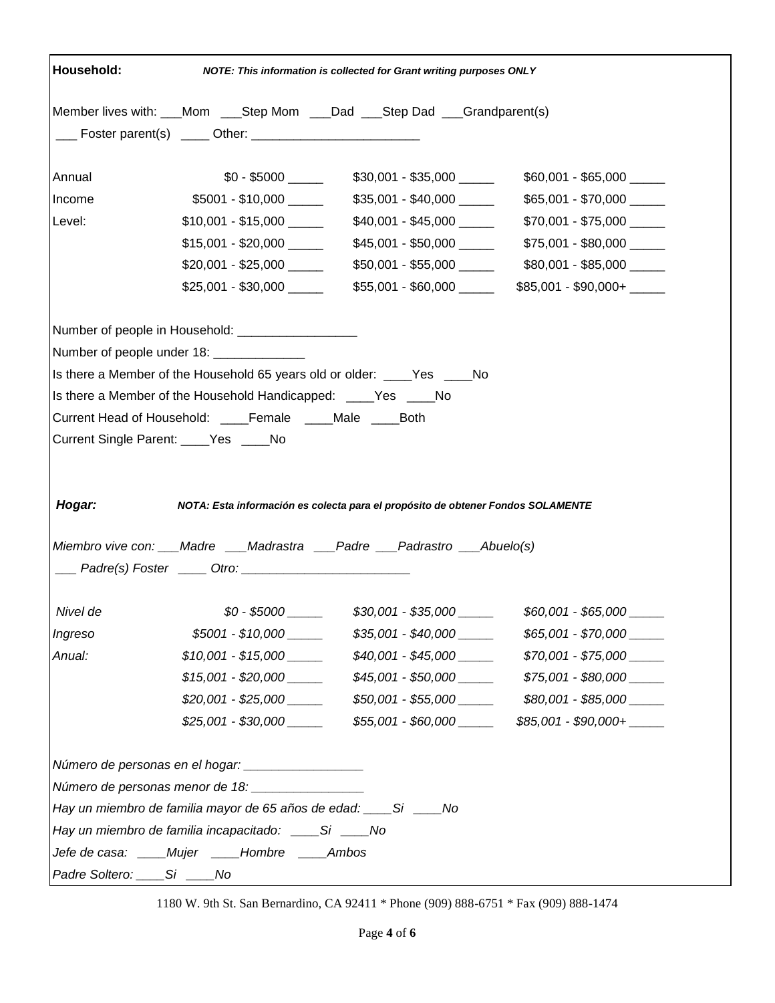|                                         |                                                                   | NOTE: This information is collected for Grant writing purposes ONLY                                                                                           |                                                                           |
|-----------------------------------------|-------------------------------------------------------------------|---------------------------------------------------------------------------------------------------------------------------------------------------------------|---------------------------------------------------------------------------|
|                                         |                                                                   | Member lives with: ___Mom ___Step Mom ___Dad ___Step Dad ___Grandparent(s)                                                                                    |                                                                           |
|                                         |                                                                   |                                                                                                                                                               |                                                                           |
| Annual                                  |                                                                   | $$0 - $5000$ $$30,001 - $35,000$ $\_\_$                                                                                                                       |                                                                           |
| Income                                  | $$5001 - $10,000$ _____                                           | \$35,001 - \$40,000                                                                                                                                           | $$65,001 - $70,000$ _____                                                 |
| Level:                                  | $$10,001 - $15,000$ ______                                        |                                                                                                                                                               | $$70,001 - $75,000$ _____                                                 |
|                                         |                                                                   | $$45,001 - $50,000$ _____                                                                                                                                     | $$75,001 - $80,000$ ____                                                  |
|                                         | $$20,001 - $25,000$ ______                                        | $$50,001 - $55,000$ _____                                                                                                                                     | \$80,001 - \$85,000 _____                                                 |
|                                         |                                                                   |                                                                                                                                                               | $$25,001 - $30,000$ $$55,001 - $60,000$ $$85,001 - $90,000 +$ $$90,000 +$ |
|                                         | Number of people in Household: ____________________               |                                                                                                                                                               |                                                                           |
|                                         | Number of people under 18: ______________                         |                                                                                                                                                               |                                                                           |
|                                         |                                                                   | Is there a Member of the Household 65 years old or older: _____Yes _____No                                                                                    |                                                                           |
|                                         | Is there a Member of the Household Handicapped: _____Yes _____No  |                                                                                                                                                               |                                                                           |
|                                         | Current Head of Household: ____Female ____Male ____Both           |                                                                                                                                                               |                                                                           |
| Current Single Parent: ____ Yes ____ No |                                                                   |                                                                                                                                                               |                                                                           |
|                                         |                                                                   |                                                                                                                                                               |                                                                           |
|                                         |                                                                   |                                                                                                                                                               |                                                                           |
| Hogar:                                  |                                                                   | NOTA: Esta información es colecta para el propósito de obtener Fondos SOLAMENTE<br>Miembro vive con: ___Madre ___Madrastra ___Padre ___Padrastro ___Abuelo(s) |                                                                           |
|                                         |                                                                   |                                                                                                                                                               |                                                                           |
| Nivel de                                |                                                                   |                                                                                                                                                               | $$0 - $5000$ \$30,001 - \$35,000 \$60,001 - \$65,000 \$60.                |
|                                         |                                                                   |                                                                                                                                                               | $$65,001 - $70,000$                                                       |
|                                         | $$10,001 - $15,000$                                               |                                                                                                                                                               | $$70,001 - $75,000$                                                       |
|                                         | $$15,001 - $20,000$                                               |                                                                                                                                                               | $$45,001 - $50,000$ $$75,001 - $80,000$ $\qquad \qquad$                   |
|                                         |                                                                   | $$50,001 - $55,000$ ______                                                                                                                                    | \$80,001 - \$85,000 _____                                                 |
| Ingreso<br>Anual:                       |                                                                   |                                                                                                                                                               | $$25,001 - $30,000$ $$55,001 - $60,000$ $$85,001 - $0.000$                |
|                                         |                                                                   |                                                                                                                                                               |                                                                           |
|                                         | Número de personas menor de 18:                                   |                                                                                                                                                               |                                                                           |
|                                         | Hay un miembro de familia mayor de 65 años de edad: ____Si ____No |                                                                                                                                                               |                                                                           |
|                                         | Hay un miembro de familia incapacitado: ____Si ___No              |                                                                                                                                                               |                                                                           |
|                                         | Jefe de casa: ____Mujer ____Hombre ____Ambos                      |                                                                                                                                                               |                                                                           |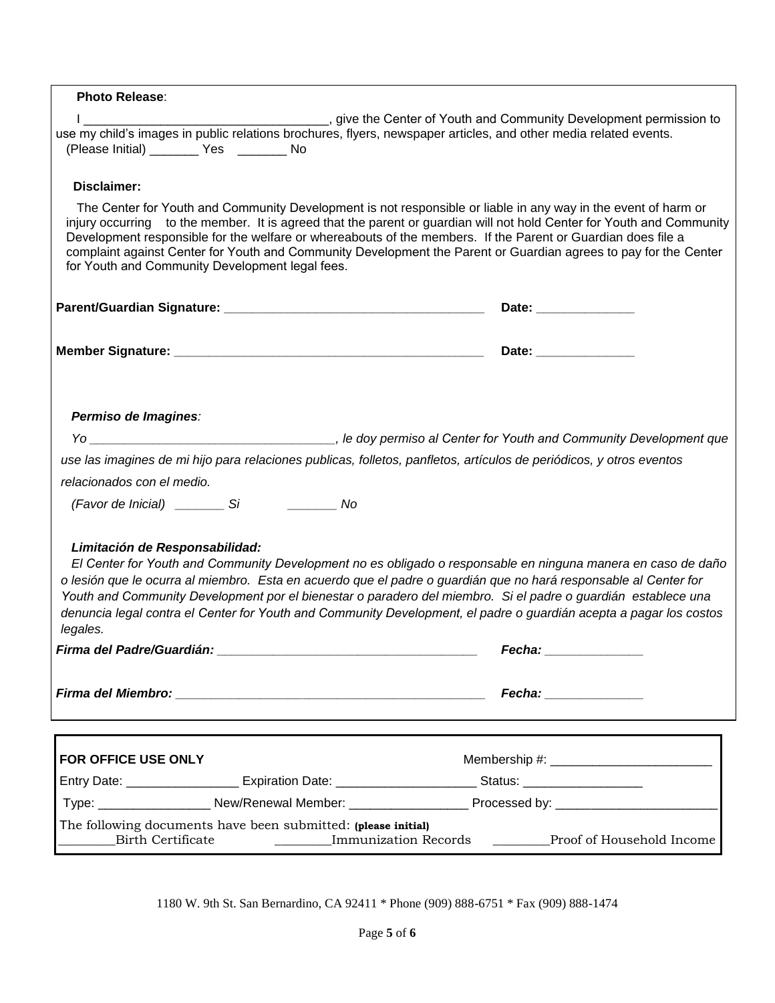| <b>Photo Release:</b>                                                                                                                                                                                                                                                             |                                                                                                                                                                                                                                           |
|-----------------------------------------------------------------------------------------------------------------------------------------------------------------------------------------------------------------------------------------------------------------------------------|-------------------------------------------------------------------------------------------------------------------------------------------------------------------------------------------------------------------------------------------|
| (Please Initial) ___________ Yes __________ No                                                                                                                                                                                                                                    |                                                                                                                                                                                                                                           |
| <b>Disclaimer:</b>                                                                                                                                                                                                                                                                |                                                                                                                                                                                                                                           |
| The Center for Youth and Community Development is not responsible or liable in any way in the event of harm or<br>Development responsible for the welfare or whereabouts of the members. If the Parent or Guardian does file a<br>for Youth and Community Development legal fees. | injury occurring to the member. It is agreed that the parent or guardian will not hold Center for Youth and Community<br>complaint against Center for Youth and Community Development the Parent or Guardian agrees to pay for the Center |
|                                                                                                                                                                                                                                                                                   | Date: _______________                                                                                                                                                                                                                     |
|                                                                                                                                                                                                                                                                                   | Date: _______________                                                                                                                                                                                                                     |
| Permiso de Imagines:                                                                                                                                                                                                                                                              |                                                                                                                                                                                                                                           |
|                                                                                                                                                                                                                                                                                   |                                                                                                                                                                                                                                           |
| use las imagines de mi hijo para relaciones publicas, folletos, panfletos, artículos de periódicos, y otros eventos                                                                                                                                                               |                                                                                                                                                                                                                                           |
| relacionados con el medio.                                                                                                                                                                                                                                                        |                                                                                                                                                                                                                                           |
|                                                                                                                                                                                                                                                                                   |                                                                                                                                                                                                                                           |
| Limitación de Responsabilidad:<br>o lesión que le ocurra al miembro. Esta en acuerdo que el padre o guardián que no hará responsable al Center for<br>Youth and Community Development por el bienestar o paradero del miembro. Si el padre o guardián establece una<br>legales.   | El Center for Youth and Community Development no es obligado o responsable en ninguna manera en caso de daño<br>denuncia legal contra el Center for Youth and Community Development, el padre o guardián acepta a pagar los costos        |
| Firma del Padre/Guardián:                                                                                                                                                                                                                                                         | Fecha:                                                                                                                                                                                                                                    |
|                                                                                                                                                                                                                                                                                   | Fecha: ______________                                                                                                                                                                                                                     |
| FOR OFFICE USE ONLY                                                                                                                                                                                                                                                               |                                                                                                                                                                                                                                           |
|                                                                                                                                                                                                                                                                                   |                                                                                                                                                                                                                                           |
| Type: ____________________New/Renewal Member: _________________________Processed by: _________________________                                                                                                                                                                    |                                                                                                                                                                                                                                           |
| The following documents have been submitted: (please initial)<br><b>Birth Certificate</b>                                                                                                                                                                                         | Immunization Records Proof of Household Income                                                                                                                                                                                            |